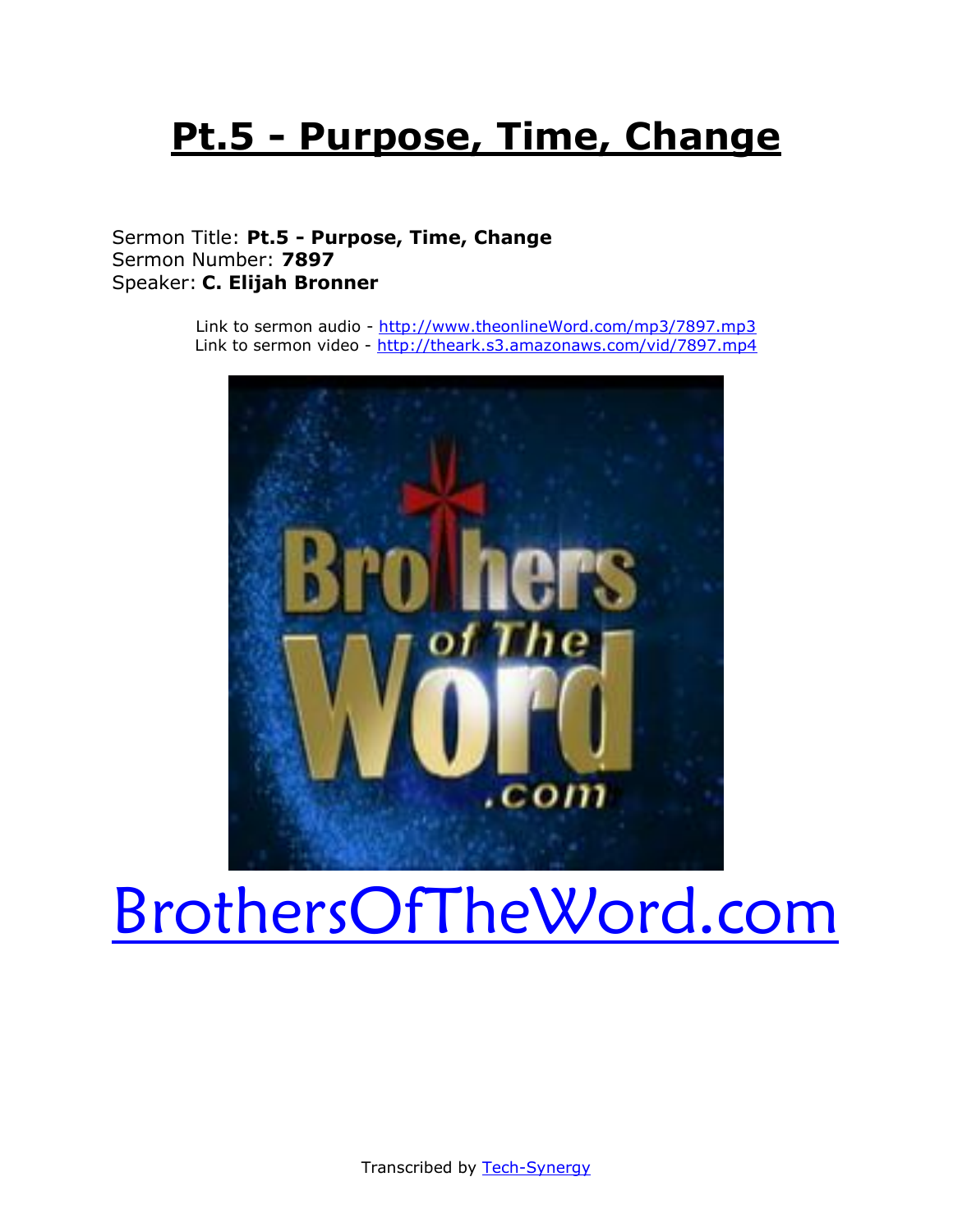## **Pt.5 - Purpose, Time, Change**

### Sermon Title: **Pt.5 - Purpose, Time, Change** Sermon Number: **7897** Speaker: **C. Elijah Bronner**

Link to sermon audio - [http://www.theonlineWord.com/mp3/7897.mp3](http://www.theonlineword.com/mp3/7897.mp3) Link to sermon video - <http://theark.s3.amazonaws.com/vid/7897.mp4>



# [BrothersOfTheWord.com](http://www.brothersoftheword.com/)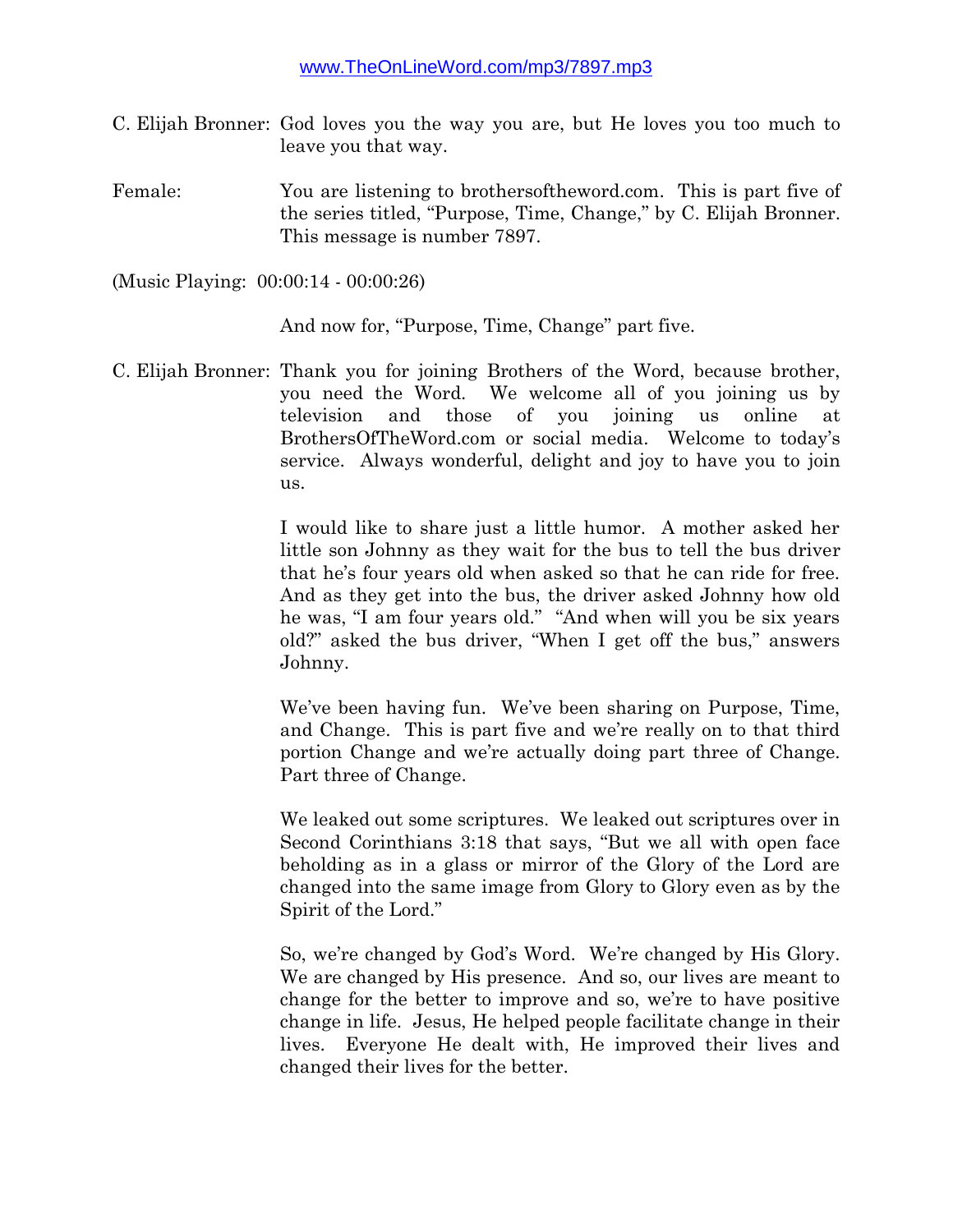- C. Elijah Bronner: God loves you the way you are, but He loves you too much to leave you that way.
- Female: You are listening to brothersoftheword.com. This is part five of the series titled, "Purpose, Time, Change," by C. Elijah Bronner. This message is number 7897.

(Music Playing: 00:00:14 - 00:00:26)

And now for, "Purpose, Time, Change" part five.

C. Elijah Bronner: Thank you for joining Brothers of the Word, because brother, you need the Word. We welcome all of you joining us by television and those of you joining us online at BrothersOfTheWord.com or social media. Welcome to today's service. Always wonderful, delight and joy to have you to join us.

> I would like to share just a little humor. A mother asked her little son Johnny as they wait for the bus to tell the bus driver that he's four years old when asked so that he can ride for free. And as they get into the bus, the driver asked Johnny how old he was, "I am four years old." "And when will you be six years old?" asked the bus driver, "When I get off the bus," answers Johnny.

> We've been having fun. We've been sharing on Purpose, Time, and Change. This is part five and we're really on to that third portion Change and we're actually doing part three of Change. Part three of Change.

> We leaked out some scriptures. We leaked out scriptures over in Second Corinthians 3:18 that says, "But we all with open face beholding as in a glass or mirror of the Glory of the Lord are changed into the same image from Glory to Glory even as by the Spirit of the Lord."

> So, we're changed by God's Word. We're changed by His Glory. We are changed by His presence. And so, our lives are meant to change for the better to improve and so, we're to have positive change in life. Jesus, He helped people facilitate change in their lives. Everyone He dealt with, He improved their lives and changed their lives for the better.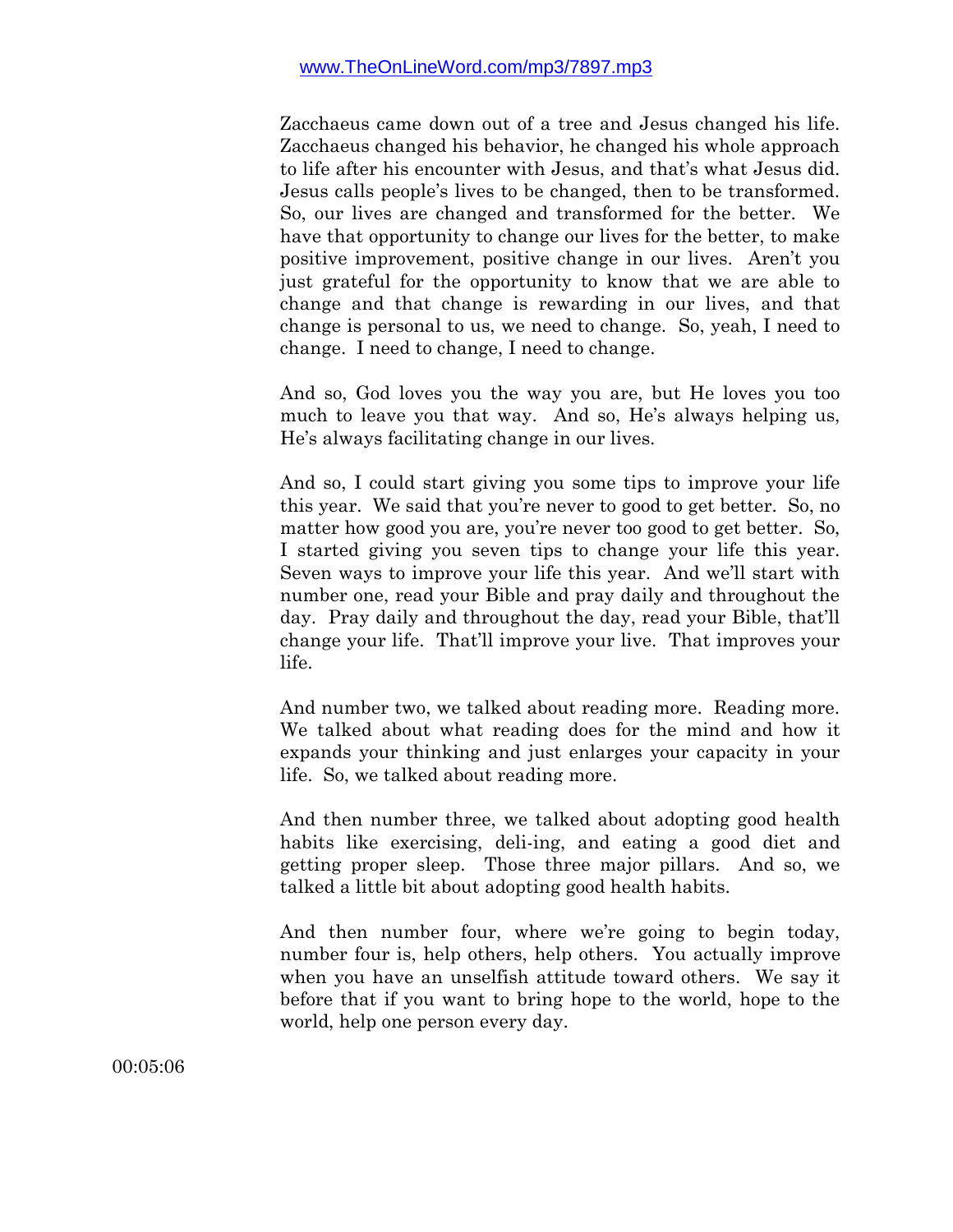Zacchaeus came down out of a tree and Jesus changed his life. Zacchaeus changed his behavior, he changed his whole approach to life after his encounter with Jesus, and that's what Jesus did. Jesus calls people's lives to be changed, then to be transformed. So, our lives are changed and transformed for the better. We have that opportunity to change our lives for the better, to make positive improvement, positive change in our lives. Aren't you just grateful for the opportunity to know that we are able to change and that change is rewarding in our lives, and that change is personal to us, we need to change. So, yeah, I need to change. I need to change, I need to change.

And so, God loves you the way you are, but He loves you too much to leave you that way. And so, He's always helping us, He's always facilitating change in our lives.

And so, I could start giving you some tips to improve your life this year. We said that you're never to good to get better. So, no matter how good you are, you're never too good to get better. So, I started giving you seven tips to change your life this year. Seven ways to improve your life this year. And we'll start with number one, read your Bible and pray daily and throughout the day. Pray daily and throughout the day, read your Bible, that'll change your life. That'll improve your live. That improves your life.

And number two, we talked about reading more. Reading more. We talked about what reading does for the mind and how it expands your thinking and just enlarges your capacity in your life. So, we talked about reading more.

And then number three, we talked about adopting good health habits like exercising, deli-ing, and eating a good diet and getting proper sleep. Those three major pillars. And so, we talked a little bit about adopting good health habits.

And then number four, where we're going to begin today, number four is, help others, help others. You actually improve when you have an unselfish attitude toward others. We say it before that if you want to bring hope to the world, hope to the world, help one person every day.

00:05:06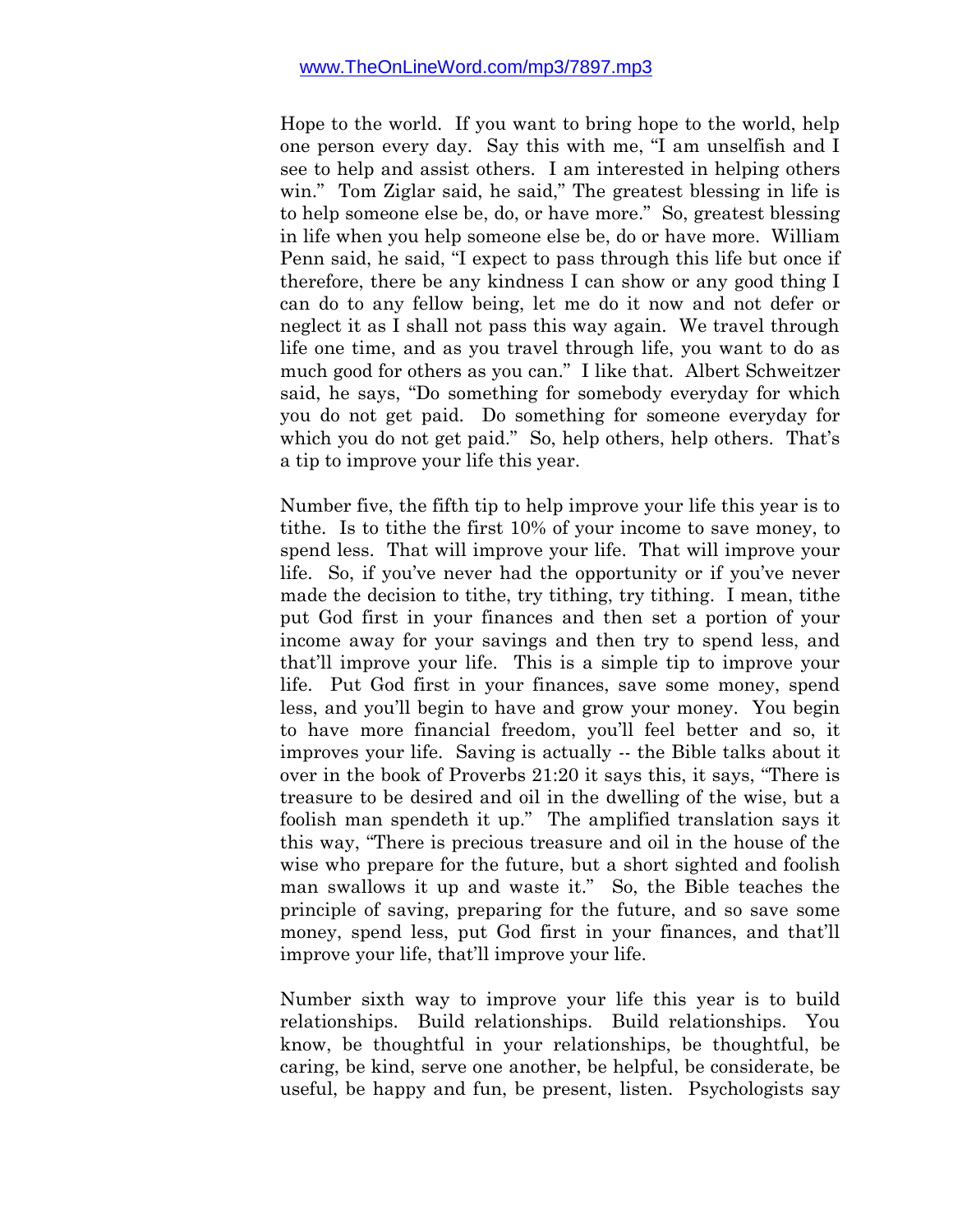Hope to the world. If you want to bring hope to the world, help one person every day. Say this with me, "I am unselfish and I see to help and assist others. I am interested in helping others win." Tom Ziglar said, he said," The greatest blessing in life is to help someone else be, do, or have more." So, greatest blessing in life when you help someone else be, do or have more. William Penn said, he said, "I expect to pass through this life but once if therefore, there be any kindness I can show or any good thing I can do to any fellow being, let me do it now and not defer or neglect it as I shall not pass this way again. We travel through life one time, and as you travel through life, you want to do as much good for others as you can." I like that. Albert Schweitzer said, he says, "Do something for somebody everyday for which you do not get paid. Do something for someone everyday for which you do not get paid." So, help others, help others. That's a tip to improve your life this year.

Number five, the fifth tip to help improve your life this year is to tithe. Is to tithe the first 10% of your income to save money, to spend less. That will improve your life. That will improve your life. So, if you've never had the opportunity or if you've never made the decision to tithe, try tithing, try tithing. I mean, tithe put God first in your finances and then set a portion of your income away for your savings and then try to spend less, and that'll improve your life. This is a simple tip to improve your life. Put God first in your finances, save some money, spend less, and you'll begin to have and grow your money. You begin to have more financial freedom, you'll feel better and so, it improves your life. Saving is actually -- the Bible talks about it over in the book of Proverbs 21:20 it says this, it says, "There is treasure to be desired and oil in the dwelling of the wise, but a foolish man spendeth it up." The amplified translation says it this way, "There is precious treasure and oil in the house of the wise who prepare for the future, but a short sighted and foolish man swallows it up and waste it." So, the Bible teaches the principle of saving, preparing for the future, and so save some money, spend less, put God first in your finances, and that'll improve your life, that'll improve your life.

Number sixth way to improve your life this year is to build relationships. Build relationships. Build relationships. You know, be thoughtful in your relationships, be thoughtful, be caring, be kind, serve one another, be helpful, be considerate, be useful, be happy and fun, be present, listen. Psychologists say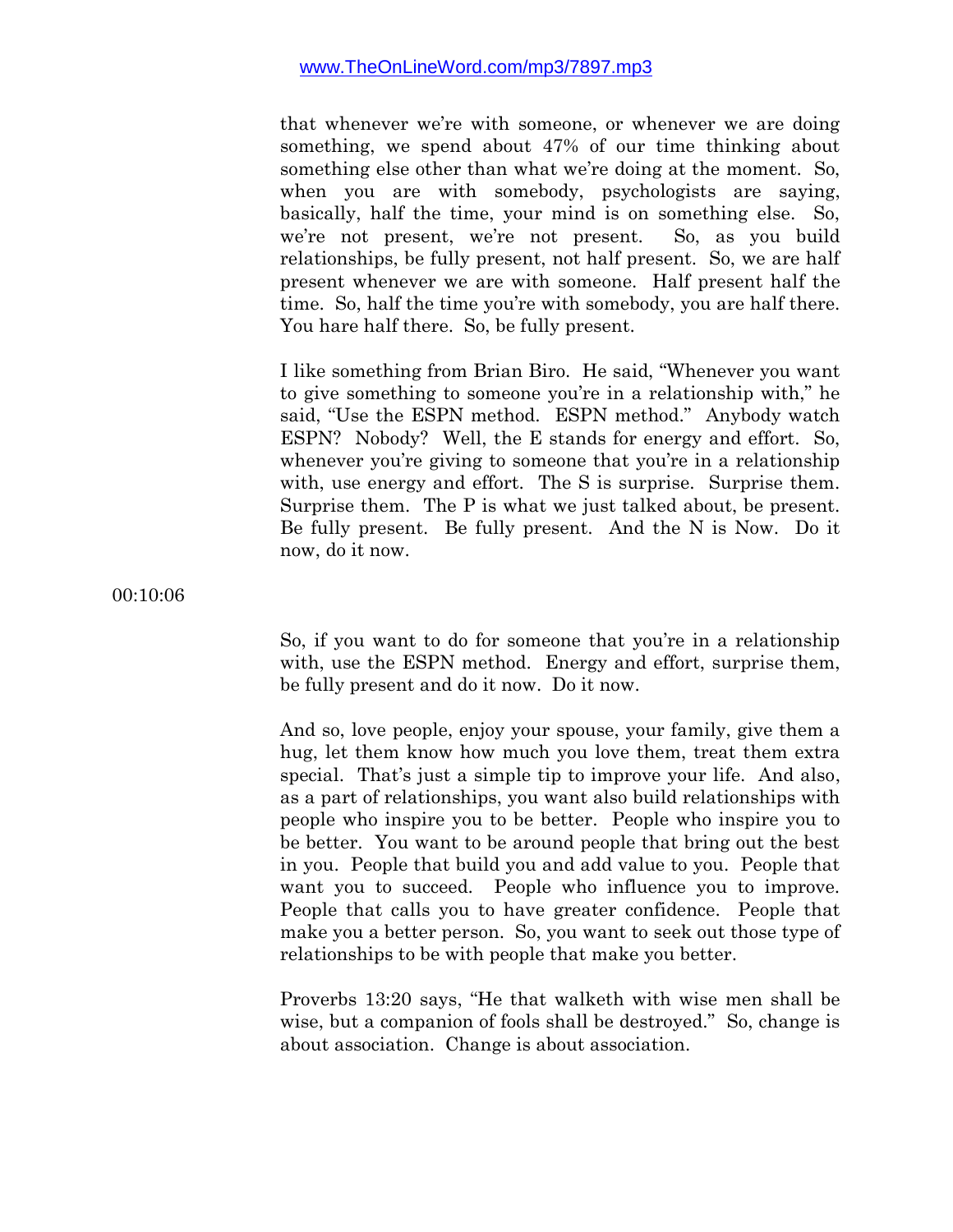that whenever we're with someone, or whenever we are doing something, we spend about 47% of our time thinking about something else other than what we're doing at the moment. So, when you are with somebody, psychologists are saying, basically, half the time, your mind is on something else. So, we're not present, we're not present. So, as you build relationships, be fully present, not half present. So, we are half present whenever we are with someone. Half present half the time. So, half the time you're with somebody, you are half there. You hare half there. So, be fully present.

I like something from Brian Biro. He said, "Whenever you want to give something to someone you're in a relationship with," he said, "Use the ESPN method. ESPN method." Anybody watch ESPN? Nobody? Well, the E stands for energy and effort. So, whenever you're giving to some one that you're in a relationship with, use energy and effort. The S is surprise. Surprise them. Surprise them. The P is what we just talked about, be present. Be fully present. Be fully present. And the N is Now. Do it now, do it now.

00:10:06

So, if you want to do for someone that you're in a relationship with, use the ESPN method. Energy and effort, surprise them, be fully present and do it now. Do it now.

And so, love people, enjoy your spouse, your family, give them a hug, let them know how much you love them, treat them extra special. That's just a simple tip to improve your life. And also, as a part of relationships, you want also build relationships with people who inspire you to be better. People who inspire you to be better. You want to be around people that bring out the best in you. People that build you and add value to you. People that want you to succeed. People who influence you to improve. People that calls you to have greater confidence. People that make you a better person. So, you want to seek out those type of relationships to be with people that make you better.

Proverbs 13:20 says, "He that walketh with wise men shall be wise, but a companion of fools shall be destroyed." So, change is about association. Change is about association.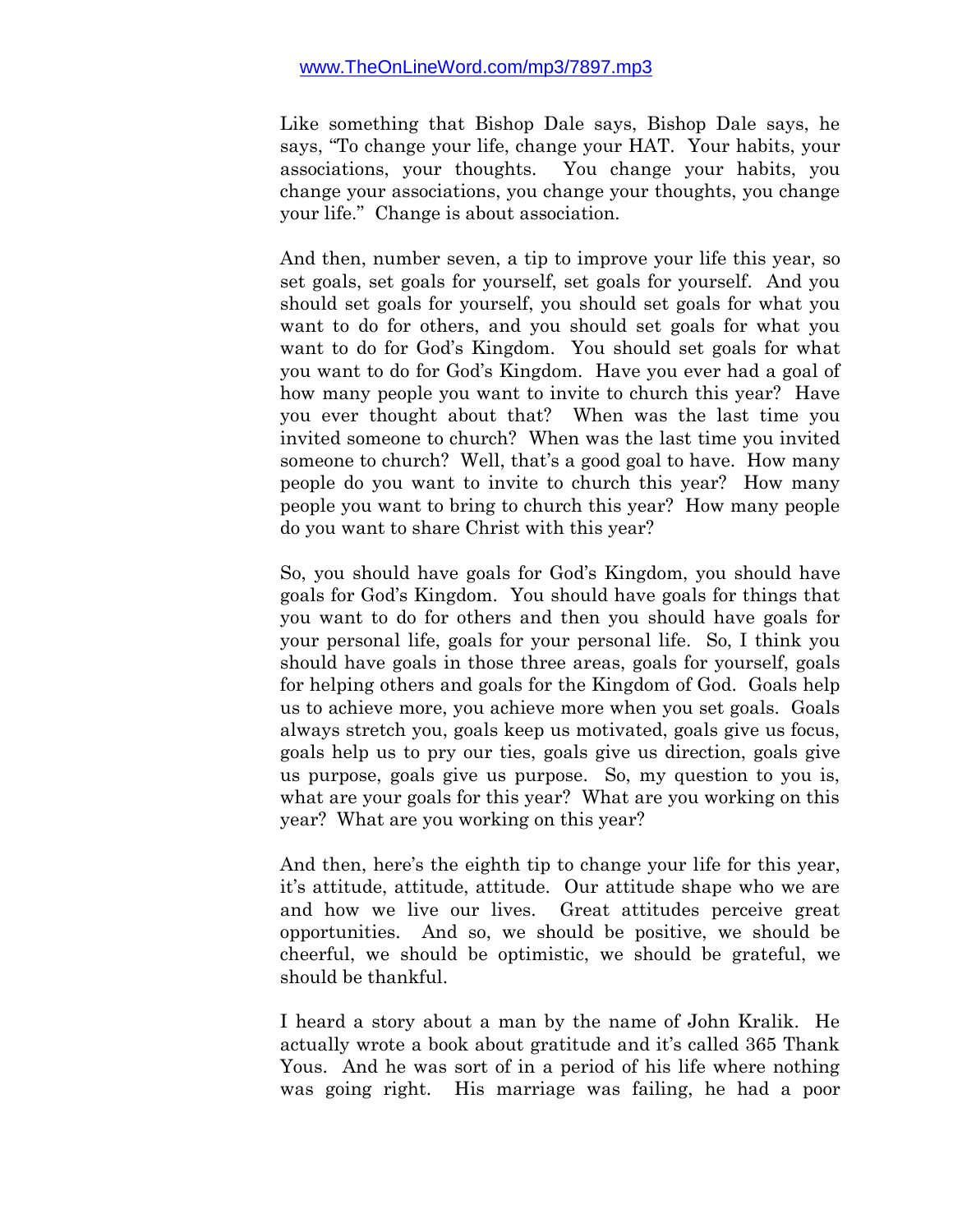Like something that Bishop Dale says, Bishop Dale says, he says, "To change your life, change your HAT. Your habits, your associations, your thoughts. You change your habits, you change your associations, you change your thoughts, you change your life." Change is about association.

And then, number seven, a tip to improve your life this year, so set goals, set goals for yourself, set goals for yourself. And you should set goals for yourself, you should set goals for what you want to do for others, and you should set goals for what you want to do for God's Kingdom. You should set goals for what you want to do for God's Kingdom. Have you ever had a goal of how many people you want to invite to church this year? Have you ever thought about that? When was the last time you invited someone to church? When was the last time you invited someone to church? Well, that's a good goal to have. How many people do you want to invite to church this year? How many people you want to bring to church this year? How many people do you want to share Christ with this year?

So, you should have goals for God's Kingdom, you should have goals for God's Kingdom. You should have goals for things that you want to do for others and then you should have goals for your personal life, goals for your personal life. So, I think you should have goals in those three areas, goals for yourself, goals for helping others and goals for the Kingdom of God. Goals help us to achieve more, you achieve more when you set goals. Goals always stretch you, goals keep us motivated, goals give us focus, goals help us to pry our ties, goals give us direction, goals give us purpose, goals give us purpose. So, my question to you is, what are your goals for this year? What are you working on this year? What are you working on this year?

And then, here's the eighth tip to change your life for this year, it's attitude, attitude, attitude. Our attitude shape who we are and how we live our lives. Great attitudes perceive great opportunities. And so, we should be positive, we should be cheerful, we should be optimistic, we should be grateful, we should be thankful.

I heard a story about a man by the name of John Kralik. He actually wrote a book about gratitude and it's called 365 Thank Yous. And he was sort of in a period of his life where nothing was going right. His marriage was failing, he had a poor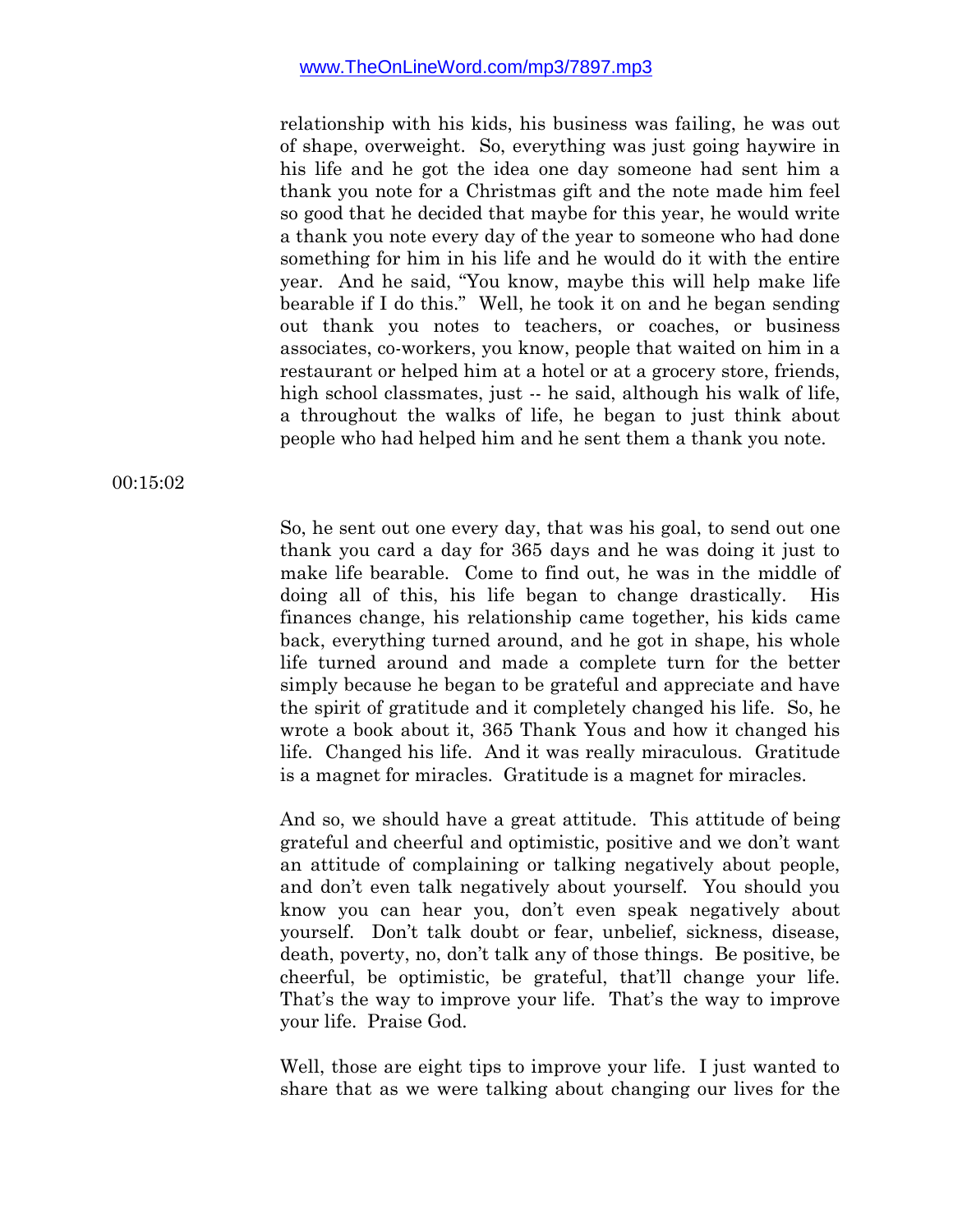relationship with his kids, his business was failing, he was out of shape, overweight. So, everything was just going haywire in his life and he got the idea one day someone had sent him a thank you note for a Christmas gift and the note made him feel so good that he decided that maybe for this year, he would write a thank you note every day of the year to someone who had done something for him in his life and he would do it with the entire year. And he said, "You know, maybe this will help make life bearable if I do this." Well, he took it on and he began sending out thank you notes to teachers, or coaches, or business associates, co-workers, you know, people that waited on him in a restaurant or helped him at a hotel or at a grocery store, friends, high school classmates, just -- he said, although his walk of life, a throughout the walks of life, he began to just think about people who had helped him and he sent them a thank you note.

00:15:02

So, he sent out one every day, that was his goal, to send out one thank you card a day for 365 days and he was doing it just to make life bearable. Come to find out, he was in the middle of doing all of this, his life began to change drastically. His finances change, his relationship came together, his kids came back, everything turned around, and he got in shape, his whole life turned around and made a complete turn for the better simply because he began to be grateful and appreciate and have the spirit of gratitude and it completely changed his life. So, he wrote a book about it, 365 Thank Yous and how it changed his life. Changed his life. And it was really miraculous. Gratitude is a magnet for miracles. Gratitude is a magnet for miracles.

And so, we should have a great attitude. This attitude of being grateful and cheerful and optimistic, positive and we don't want an attitude of complaining or talking negatively about people, and don't even talk negatively about yourself. You should you know you can hear you, don't even speak negatively about yourself. Don't talk doubt or fear, unbelief, sickness, disease, death, poverty, no, don't talk any of those things. Be positive, be cheerful, be optimistic, be grateful, that'll change your life. That's the way to improve your life. That's the way to improve your life. Praise God.

Well, those are eight tips to improve your life. I just wanted to share that as we were talking about changing our lives for the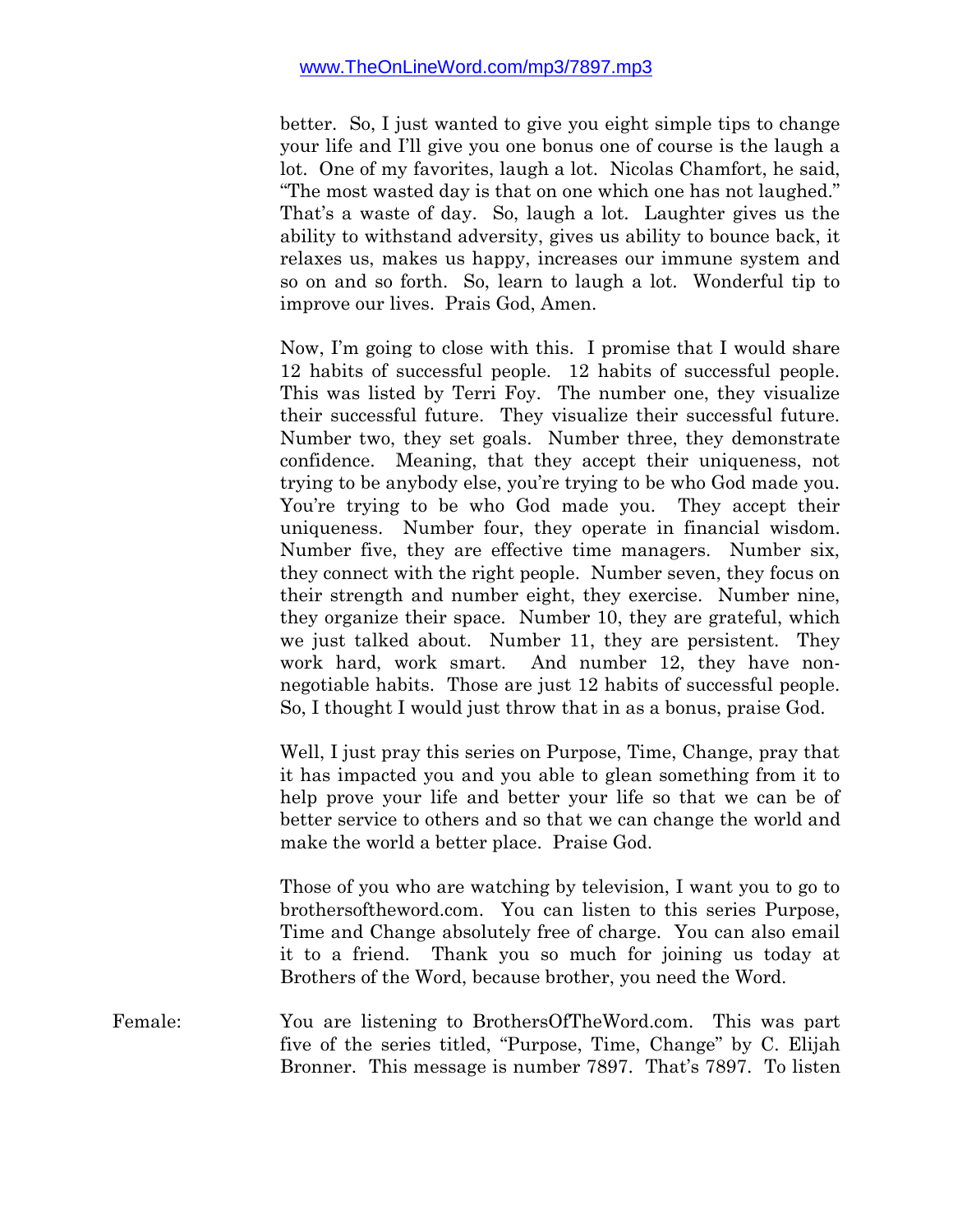better. So, I just wanted to give you eight simple tips to change your life and I'll give you one bonus one of course is the laugh a lot. One of my favorites, laugh a lot. Nicolas Chamfort, he said, "The most wasted day is that on one which one has not laughed." That's a waste of day. So, laugh a lot. Laughter gives us the ability to withstand adversity, gives us ability to bounce back, it relaxes us, makes us happy, increases our immune system and so on and so forth. So, learn to laugh a lot. Wonderful tip to improve our lives. Prais God, Amen.

Now, I'm going to close with this. I promise that I would share 12 habits of successful people. 12 habits of successful people. This was listed by Terri Foy. The number one, they visualize their successful future. They visualize their successful future. Number two, they set goals. Number three, they demonstrate confidence. Meaning, that they accept their uniqueness, not trying to be anybody else, you're trying to be who God made you. You're trying to be who God made you. They accept their uniqueness. Number four, they operate in financial wisdom. Number five, they are effective time managers. Number six, they connect with the right people. Number seven, they focus on their strength and number eight, they exercise. Number nine, they organize their space. Number 10, they are grateful, which we just talked about. Number 11, they are persistent. They work hard, work smart. And number 12, they have nonnegotiable habits. Those are just 12 habits of successful people. So, I thought I would just throw that in as a bonus, praise God.

Well, I just pray this series on Purpose, Time, Change, pray that it has impacted you and you able to glean something from it to help prove your life and better your life so that we can be of better service to others and so that we can change the world and make the world a better place. Praise God.

Those of you who are watching by television, I want you to go to brothersoftheword.com. You can listen to this series Purpose, Time and Change absolutely free of charge. You can also email it to a friend. Thank you so much for joining us today at Brothers of the Word, because brother, you need the Word.

Female: You are listening to BrothersOfTheWord.com. This was part five of the series titled, "Purpose, Time, Change" by C. Elijah Bronner. This message is number 7897. That's 7897. To listen